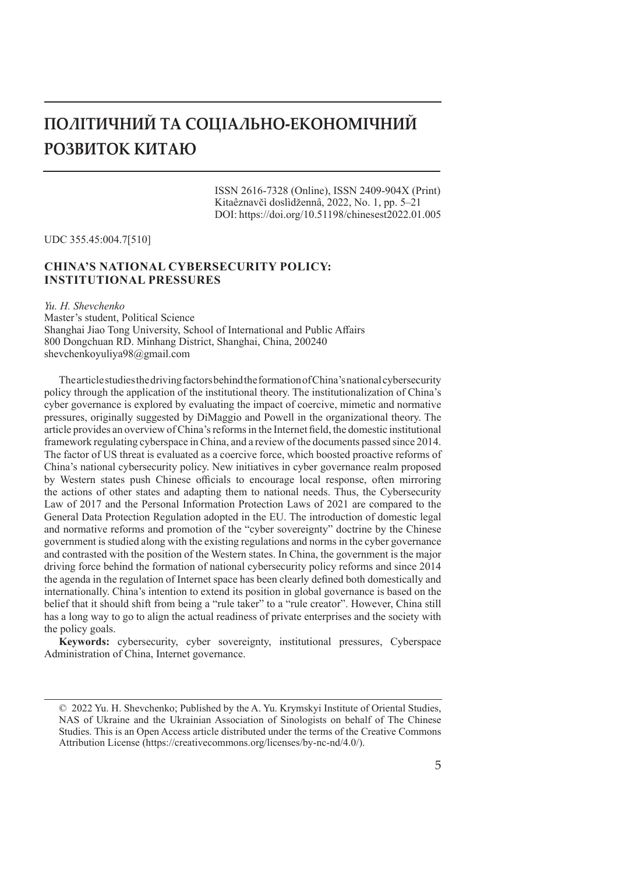# **ПОЛІТИЧНИЙ ТА СОЦІАЛЬНО-ЕКОНОМІЧНИЙ РОЗВИТОК КИТАЮ**

ISSN 2616-7328 (Online), ISSN 2409-904X (Print) Kitaêznavčì doslìdžennâ, 2022, No. 1, pp. 5–21 DOI: https://doi.org/10.51198/chinesest2022.01.005

UDC 355.45:004.7[510]

# **CHINA'S NATIONAL CYBERSECURITY POLICY: INSTITUTIONAL PRESSURES**

*Yu. H. Shevchenko* Master's student, Political Science Shanghai Jiao Tong University, School of International and Public Affairs 800 Dongchuan RD. Minhang District, Shanghai, China, 200240 shevchenkoyuliya98@gmail.com

The article studies the driving factors behind the formation of China's national cybersecurity policy through the application of the institutional theory. The institutionalization of China's cyber governance is explored by evaluating the impact of coercive, mimetic and normative pressures, originally suggested by DiMaggio and Powell in the organizational theory. The article provides an overview of China's reforms in the Internet field, the domestic institutional framework regulating cyberspace in China, and a review of the documents passed since 2014. The factor of US threat is evaluated as a coercive force, which boosted proactive reforms of China's national cybersecurity policy. New initiatives in cyber governance realm proposed by Western states push Chinese officials to encourage local response, often mirroring the actions of other states and adapting them to national needs. Thus, the Cybersecurity Law of 2017 and the Personal Information Protection Laws of 2021 are compared to the General Data Protection Regulation adopted in the EU. The introduction of domestic legal and normative reforms and promotion of the "cyber sovereignty" doctrine by the Chinese government is studied along with the existing regulations and norms in the cyber governance and contrasted with the position of the Western states. In China, the government is the major driving force behind the formation of national cybersecurity policy reforms and since 2014 the agenda in the regulation of Internet space has been clearly defined both domestically and internationally. China's intention to extend its position in global governance is based on the belief that it should shift from being a "rule taker" to a "rule creator". However, China still has a long way to go to align the actual readiness of private enterprises and the society with the policy goals.

**Keywords:** cybersecurity, cyber sovereignty, institutional pressures, Cyberspace Administration of China, Internet governance.

<sup>© 2022</sup> Yu. H. Shevchenko; Published by the A. Yu. Krymskyi Institute of Oriental Studies, NAS of Ukraine and the Ukrainian Association of Sinologists on behalf of The Chinese Studies. This is an Open Access article distributed under the terms of the Creative Commons Attribution License (https://creativecommons.org/licenses/by-nc-nd/4.0/).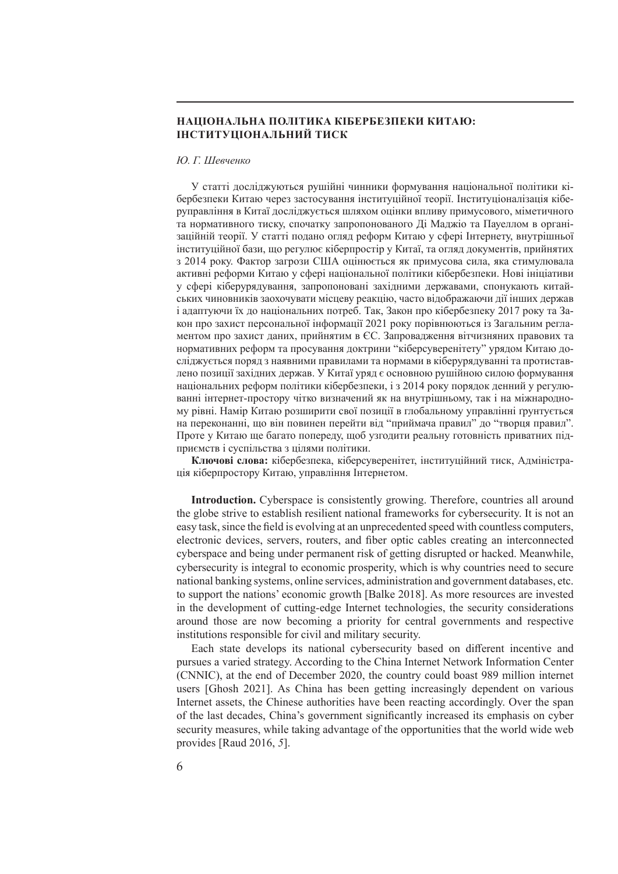## **НАЦІОНАЛЬНА ПОЛІТИКА КІБЕРБЕЗПЕКИ КИТАЮ: ІНСТИТУЦІОНАЛЬНИЙ ТИСК**

#### *Ю. Г. Шевченко*

У статті досліджуються рушійні чинники формування національної політики кібербезпеки Китаю через застосування інституційної теорії. Інституціоналізація кіберуправління в Китаї досліджується шляхом оцінки впливу примусового, міметичного та нормативного тиску, спочатку запропонованого Ді Маджіо та Пауеллом в організаційній теорії. У статті подано огляд реформ Китаю у сфері Інтернету, внутрішньої інституційної бази, що регулює кіберпростір у Китаї, та огляд документів, прийнятих з 2014 року. Фактор загрози США оцінюється як примусова сила, яка стимулювала активні реформи Китаю у сфері національної політики кібербезпеки. Нові ініціативи у сфері кіберурядування, запропоновані західними державами, спонукають китайських чиновників заохочувати місцеву реакцію, часто відображаючи дії інших держав і адаптуючи їх до національних потреб. Так, Закон про кібербезпеку 2017 року та Закон про захист персональної інформації 2021 року порівнюються із Загальним регламентом про захист даних, прийнятим в ЄС. Запровадження вітчизняних правових та нормативних реформ та просування доктрини "кіберсуверенітету" урядом Китаю досліджується поряд з наявними правилами та нормами в кіберурядуванні та протиставлено позиції західних держав. У Китаї уряд є основною рушійною силою формування національних реформ політики кібербезпеки, і з 2014 року порядок денний у регулюванні інтернет-простору чітко визначений як на внутрішньому, так і на міжнародному рівні. Намір Китаю розширити свої позиції в глобальному управлінні ґрунтується на переконанні, що він повинен перейти від "приймача правил" до "творця правил". Проте у Китаю ще багато попереду, щоб узгодити реальну готовність приватних підприємств і суспільства з цілями політики.

**Ключові слова:** кібербезпека, кіберсуверенітет, інституційний тиск, Адміністрація кіберпростору Китаю, управління Інтернетом.

**Introduction.** Cyberspace is consistently growing. Therefore, countries all around the globe strive to establish resilient national frameworks for cybersecurity. It is not an easy task, since the field is evolving at an unprecedented speed with countless computers, electronic devices, servers, routers, and fiber optic cables creating an interconnected cyberspace and being under permanent risk of getting disrupted or hacked. Meanwhile, cybersecurity is integral to economic prosperity, which is why countries need to secure national banking systems, online services, administration and government databases, etc. to support the nations' economic growth [Balke 2018]. As more resources are invested in the development of cutting-edge Internet technologies, the security considerations around those are now becoming a priority for central governments and respective institutions responsible for civil and military security.

Each state develops its national cybersecurity based on different incentive and pursues a varied strategy. According to the China Internet Network Information Center (CNNIC), at the end of December 2020, the country could boast 989 million internet users [Ghosh 2021]. As China has been getting increasingly dependent on various Internet assets, the Chinese authorities have been reacting accordingly. Over the span of the last decades, China's government significantly increased its emphasis on cyber security measures, while taking advantage of the opportunities that the world wide web provides [Raud 2016, *5*].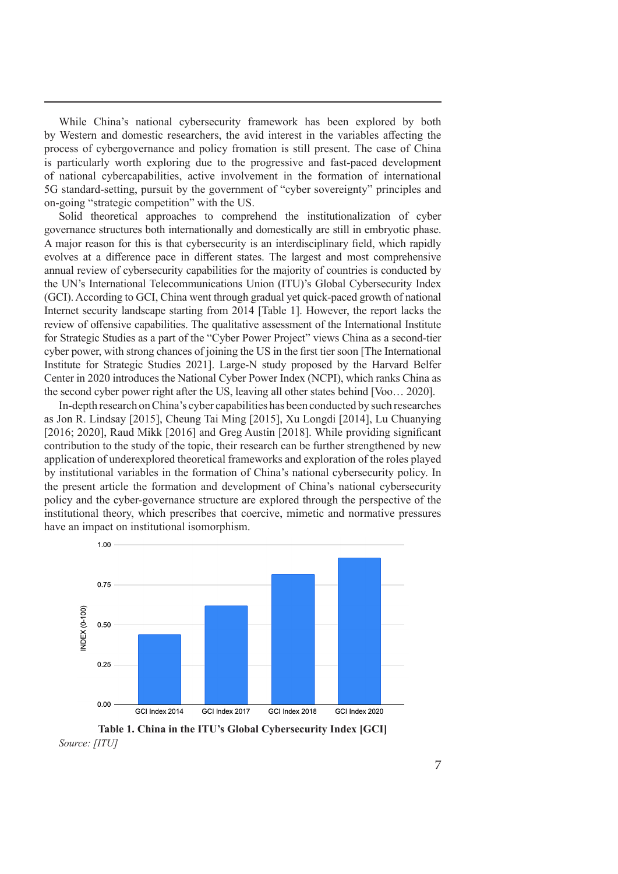While China's national cybersecurity framework has been explored by both by Western and domestic researchers, the avid interest in the variables affecting the process of cybergovernance and policy fromation is still present. The case of China is particularly worth exploring due to the progressive and fast-paced development of national cybercapabilities, active involvement in the formation of international 5G standard-setting, pursuit by the government of "cyber sovereignty" principles and on-going "strategic competition" with the US.

Solid theoretical approaches to comprehend the institutionalization of cyber governance structures both internationally and domestically are still in embryotic phase. A major reason for this is that cybersecurity is an interdisciplinary field, which rapidly evolves at a difference pace in different states. The largest and most comprehensive annual review of cybersecurity capabilities for the majority of countries is conducted by the UN's International Telecommunications Union (ITU)'s Global Cybersecurity Index (GCI). According to GCI, China went through gradual yet quick-paced growth of national Internet security landscape starting from 2014 [Table 1]. However, the report lacks the review of offensive capabilities. The qualitative assessment of the International Institute for Strategic Studies as a part of the "Cyber Power Project" views China as a second-tier cyber power, with strong chances of joining the US in the first tier soon [The International Institute for Strategic Studies 2021]. Large-N study proposed by the Harvard Belfer Center in 2020 introduces the National Cyber Power Index (NCPI), which ranks China as the second cyber power right after the US, leaving all other states behind [Voo… 2020].

In-depth research on China's cyber capabilities has been conducted by such researches as Jon R. Lindsay [2015], Cheung Tai Ming [2015], Xu Longdi [2014], Lu Chuanying [2016; 2020], Raud Mikk [2016] and Greg Austin [2018]. While providing significant contribution to the study of the topic, their research can be further strengthened by new application of underexplored theoretical frameworks and exploration of the roles played by institutional variables in the formation of China's national cybersecurity policy. In the present article the formation and development of China's national cybersecurity policy and the cyber-governance structure are explored through the perspective of the institutional theory, which prescribes that coercive, mimetic and normative pressures have an impact on institutional isomorphism.



**Table 1. China in the ITU's Global Cybersecurity Index [GCI]** *Source: [ITU]*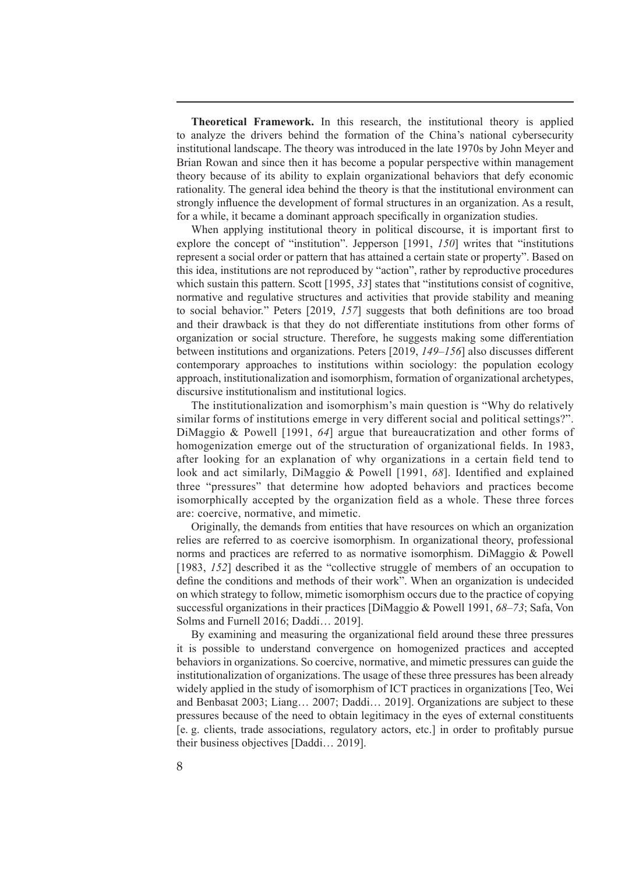**Theoretical Framework.** In this research, the institutional theory is applied to analyze the drivers behind the formation of the China's national cybersecurity institutional landscape. The theory was introduced in the late 1970s by John Meyer and Brian Rowan and since then it has become a popular perspective within management theory because of its ability to explain organizational behaviors that defy economic rationality. The general idea behind the theory is that the institutional environment can strongly influence the development of formal structures in an organization. As a result, for a while, it became a dominant approach specifically in organization studies.

When applying institutional theory in political discourse, it is important first to explore the concept of "institution". Jepperson [1991, *150*] writes that "institutions represent a social order or pattern that has attained a certain state or property". Based on this idea, institutions are not reproduced by "action", rather by reproductive procedures which sustain this pattern. Scott [1995, 33] states that "institutions consist of cognitive, normative and regulative structures and activities that provide stability and meaning to social behavior." Peters [2019, *157*] suggests that both definitions are too broad and their drawback is that they do not differentiate institutions from other forms of organization or social structure. Therefore, he suggests making some differentiation between institutions and organizations. Peters [2019, *149–156*] also discusses different contemporary approaches to institutions within sociology: the population ecology approach, institutionalization and isomorphism, formation of organizational archetypes, discursive institutionalism and institutional logics.

The institutionalization and isomorphism's main question is "Why do relatively similar forms of institutions emerge in very different social and political settings?". DiMaggio & Powell [1991, *64*] argue that bureaucratization and other forms of homogenization emerge out of the structuration of organizational fields. In 1983, after looking for an explanation of why organizations in a certain field tend to look and act similarly, DiMaggio & Powell [1991, *68*]. Identified and explained three "pressures" that determine how adopted behaviors and practices become isomorphically accepted by the organization field as a whole. These three forces are: coercive, normative, and mimetic.

Originally, the demands from entities that have resources on which an organization relies are referred to as coercive isomorphism. In organizational theory, professional norms and practices are referred to as normative isomorphism. DiMaggio & Powell [1983, *152*] described it as the "collective struggle of members of an occupation to define the conditions and methods of their work". When an organization is undecided on which strategy to follow, mimetic isomorphism occurs due to the practice of copying successful organizations in their practices [DiMaggio & Powell 1991, *68–73*; Safa, Von Solms and Furnell 2016; Daddi… 2019].

By examining and measuring the organizational field around these three pressures it is possible to understand convergence on homogenized practices and accepted behaviors in organizations. So coercive, normative, and mimetic pressures can guide the institutionalization of organizations. The usage of these three pressures has been already widely applied in the study of isomorphism of ICT practices in organizations [Teo, Wei and Benbasat 2003; Liang… 2007; Daddi… 2019]. Organizations are subject to these pressures because of the need to obtain legitimacy in the eyes of external constituents [e. g. clients, trade associations, regulatory actors, etc.] in order to profitably pursue their business objectives [Daddi… 2019].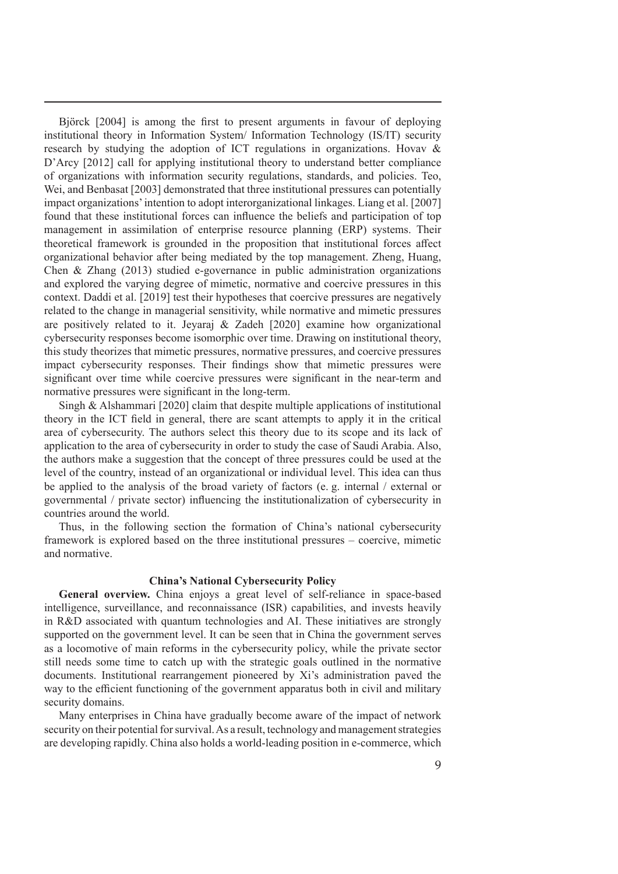Björck [2004] is among the first to present arguments in favour of deploying institutional theory in Information System/ Information Technology (IS/IT) security research by studying the adoption of ICT regulations in organizations. Hovav & D'Arcy [2012] call for applying institutional theory to understand better compliance of organizations with information security regulations, standards, and policies. Teo, Wei, and Benbasat [2003] demonstrated that three institutional pressures can potentially impact organizations' intention to adopt interorganizational linkages. Liang et al. [2007] found that these institutional forces can influence the beliefs and participation of top management in assimilation of enterprise resource planning (ERP) systems. Their theoretical framework is grounded in the proposition that institutional forces affect organizational behavior after being mediated by the top management. Zheng, Huang, Chen & Zhang (2013) studied e-governance in public administration organizations and explored the varying degree of mimetic, normative and coercive pressures in this context. Daddi et al. [2019] test their hypotheses that coercive pressures are negatively related to the change in managerial sensitivity, while normative and mimetic pressures are positively related to it. Jeyaraj & Zadeh [2020] examine how organizational cybersecurity responses become isomorphic over time. Drawing on institutional theory, this study theorizes that mimetic pressures, normative pressures, and coercive pressures impact cybersecurity responses. Their findings show that mimetic pressures were significant over time while coercive pressures were significant in the near-term and normative pressures were significant in the long-term.

Singh & Alshammari [2020] claim that despite multiple applications of institutional theory in the ICT field in general, there are scant attempts to apply it in the critical area of cybersecurity. The authors select this theory due to its scope and its lack of application to the area of cybersecurity in order to study the case of Saudi Arabia. Also, the authors make a suggestion that the concept of three pressures could be used at the level of the country, instead of an organizational or individual level. This idea can thus be applied to the analysis of the broad variety of factors (e. g. internal / external or governmental / private sector) influencing the institutionalization of cybersecurity in countries around the world.

Thus, in the following section the formation of China's national cybersecurity framework is explored based on the three institutional pressures – coercive, mimetic and normative.

### **China's National Cybersecurity Policy**

**General overview.** China enjoys a great level of self-reliance in space-based intelligence, surveillance, and reconnaissance (ISR) capabilities, and invests heavily in R&D associated with quantum technologies and AI. These initiatives are strongly supported on the government level. It can be seen that in China the government serves as a locomotive of main reforms in the cybersecurity policy, while the private sector still needs some time to catch up with the strategic goals outlined in the normative documents. Institutional rearrangement pioneered by Xi's administration paved the way to the efficient functioning of the government apparatus both in civil and military security domains.

Many enterprises in China have gradually become aware of the impact of network security on their potential for survival. As a result, technology and management strategies are developing rapidly. China also holds a world-leading position in e-commerce, which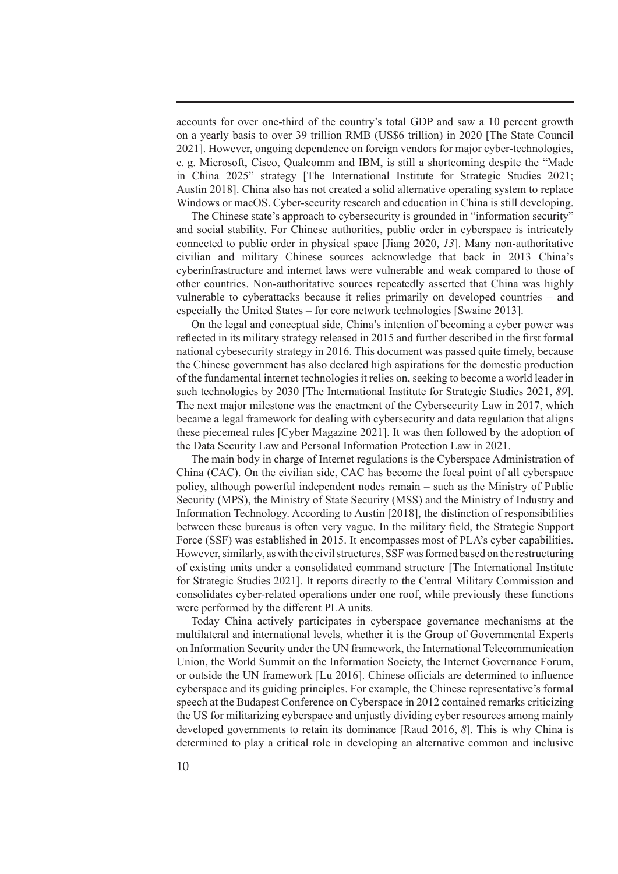accounts for over one-third of the country's total GDP and saw a 10 percent growth on a yearly basis to over 39 trillion RMB (US\$6 trillion) in 2020 [The State Council 2021]. However, ongoing dependence on foreign vendors for major cyber-technologies, e. g. Microsoft, Cisco, Qualcomm and IBM, is still a shortcoming despite the "Made in China 2025" strategy [The International Institute for Strategic Studies 2021; Austin 2018]. China also has not created a solid alternative operating system to replace Windows or macOS. Cyber-security research and education in China is still developing.

The Chinese state's approach to cybersecurity is grounded in "information security" and social stability. For Chinese authorities, public order in cyberspace is intricately connected to public order in physical space [Jiang 2020, *13*]. Many non-authoritative civilian and military Chinese sources acknowledge that back in 2013 China's cyberinfrastructure and internet laws were vulnerable and weak compared to those of other countries. Non-authoritative sources repeatedly asserted that China was highly vulnerable to cyberattacks because it relies primarily on developed countries – and especially the United States – for core network technologies [Swaine 2013].

On the legal and conceptual side, China's intention of becoming a cyber power was reflected in its military strategy released in 2015 and further described in the first formal national cybesecurity strategy in 2016. This document was passed quite timely, because the Chinese government has also declared high aspirations for the domestic production of the fundamental internet technologies it relies on, seeking to become a world leader in such technologies by 2030 [The International Institute for Strategic Studies 2021, *89*]. The next major milestone was the enactment of the Cybersecurity Law in 2017, which became a legal framework for dealing with cybersecurity and data regulation that aligns these piecemeal rules [Cyber Magazine 2021]. It was then followed by the adoption of the Data Security Law and Personal Information Protection Law in 2021.

The main body in charge of Internet regulations is the Cyberspace Administration of China (CAC). On the civilian side, CAC has become the focal point of all cyberspace policy, although powerful independent nodes remain – such as the Ministry of Public Security (MPS), the Ministry of State Security (MSS) and the Ministry of Industry and Information Technology. According to Austin [2018], the distinction of responsibilities between these bureaus is often very vague. In the military field, the Strategic Support Force (SSF) was established in 2015. It encompasses most of PLA's cyber capabilities. However, similarly, as with the civil structures, SSF was formed based on the restructuring of existing units under a consolidated command structure [The International Institute for Strategic Studies 2021]. It reports directly to the Central Military Commission and consolidates cyber-related operations under one roof, while previously these functions were performed by the different PLA units.

Today China actively participates in cyberspace governance mechanisms at the multilateral and international levels, whether it is the Group of Governmental Experts on Information Security under the UN framework, the International Telecommunication Union, the World Summit on the Information Society, the Internet Governance Forum, or outside the UN framework [Lu 2016]. Chinese officials are determined to influence cyberspace and its guiding principles. For example, the Chinese representative's formal speech at the Budapest Conference on Cyberspace in 2012 contained remarks criticizing the US for militarizing cyberspace and unjustly dividing cyber resources among mainly developed governments to retain its dominance [Raud 2016, *8*]. This is why China is determined to play a critical role in developing an alternative common and inclusive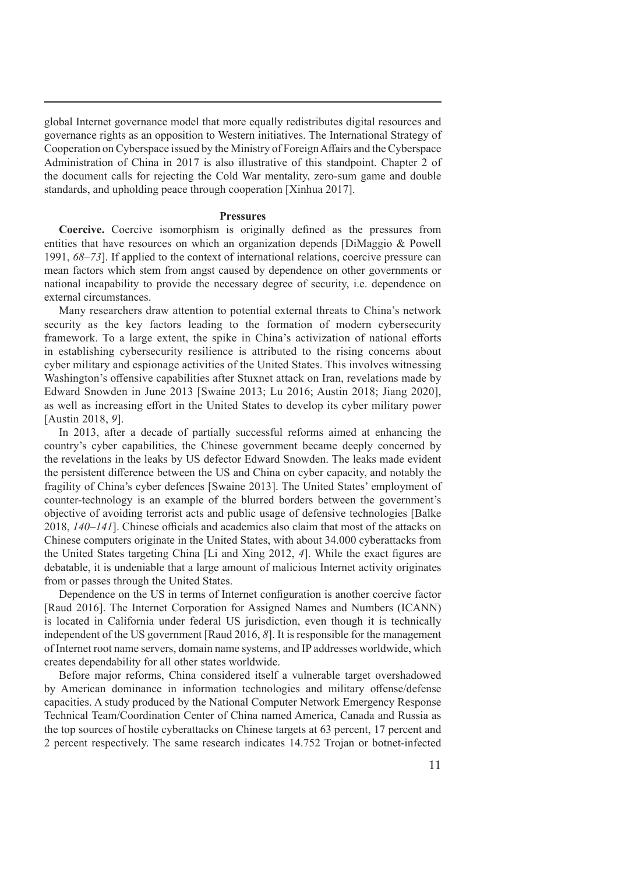global Internet governance model that more equally redistributes digital resources and governance rights as an opposition to Western initiatives. The International Strategy of Cooperation on Cyberspace issued by the Ministry of Foreign Affairs and the Cyberspace Administration of China in 2017 is also illustrative of this standpoint. Chapter 2 of the document calls for rejecting the Cold War mentality, zero-sum game and double standards, and upholding peace through cooperation [Xinhua 2017].

#### **Pressures**

**Coercive.** Coercive isomorphism is originally defined as the pressures from entities that have resources on which an organization depends [DiMaggio & Powell 1991, *68–73*]. If applied to the context of international relations, coercive pressure can mean factors which stem from angst caused by dependence on other governments or national incapability to provide the necessary degree of security, i.e. dependence on external circumstances.

Many researchers draw attention to potential external threats to China's network security as the key factors leading to the formation of modern cybersecurity framework. To a large extent, the spike in China's activization of national efforts in establishing cybersecurity resilience is attributed to the rising concerns about cyber military and espionage activities of the United States. This involves witnessing Washington's offensive capabilities after Stuxnet attack on Iran, revelations made by Edward Snowden in June 2013 [Swaine 2013; Lu 2016; Austin 2018; Jiang 2020], as well as increasing effort in the United States to develop its cyber military power [Austin 2018, *9*].

In 2013, after a decade of partially successful reforms aimed at enhancing the country's cyber capabilities, the Chinese government became deeply concerned by the revelations in the leaks by US defector Edward Snowden. The leaks made evident the persistent difference between the US and China on cyber capacity, and notably the fragility of China's cyber defences [Swaine 2013]. The United States' employment of counter-technology is an example of the blurred borders between the government's objective of avoiding terrorist acts and public usage of defensive technologies [Balke 2018, *140–141*]. Chinese officials and academics also claim that most of the attacks on Chinese computers originate in the United States, with about 34.000 cyberattacks from the United States targeting China [Li and Xing 2012, *4*]. While the exact figures are debatable, it is undeniable that a large amount of malicious Internet activity originates from or passes through the United States.

Dependence on the US in terms of Internet configuration is another coercive factor [Raud 2016]. The Internet Corporation for Assigned Names and Numbers (ICANN) is located in California under federal US jurisdiction, even though it is technically independent of the US government [Raud 2016, *8*]. It is responsible for the management of Internet root name servers, domain name systems, and IP addresses worldwide, which creates dependability for all other states worldwide.

Before major reforms, China considered itself a vulnerable target overshadowed by American dominance in information technologies and military offense/defense capacities. A study produced by the National Computer Network Emergency Response Technical Team/Coordination Center of China named America, Canada and Russia as the top sources of hostile cyberattacks on Chinese targets at 63 percent, 17 percent and 2 percent respectively. The same research indicates 14.752 Trojan or botnet-infected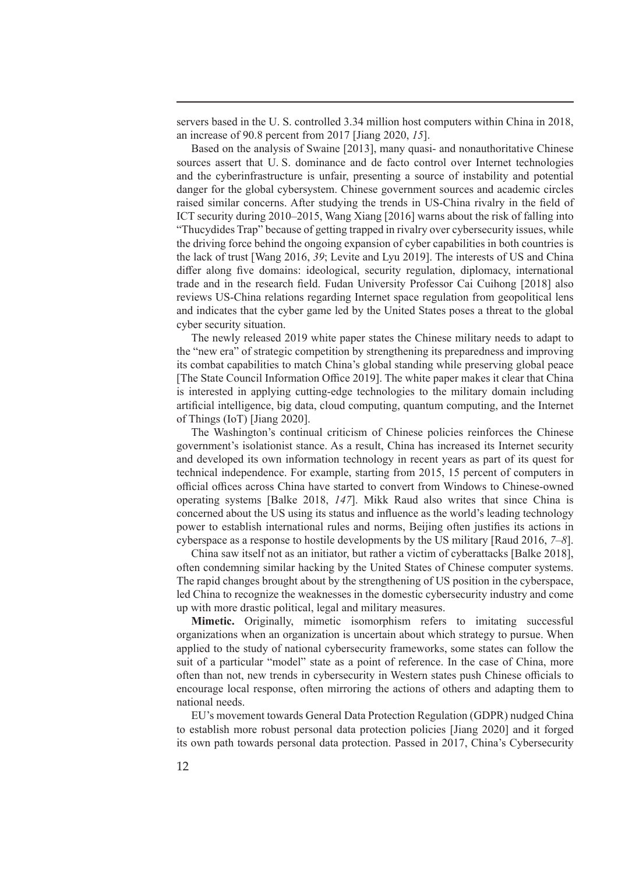servers based in the U. S. controlled 3.34 million host computers within China in 2018, an increase of 90.8 percent from 2017 [Jiang 2020, *15*].

Based on the analysis of Swaine [2013], many quasi- and nonauthoritative Chinese sources assert that U. S. dominance and de facto control over Internet technologies and the cyberinfrastructure is unfair, presenting a source of instability and potential danger for the global cybersystem. Chinese government sources and academic circles raised similar concerns. After studying the trends in US-China rivalry in the field of ICT security during 2010–2015, Wang Xiang [2016] warns about the risk of falling into "Thucydides Trap" because of getting trapped in rivalry over cybersecurity issues, while the driving force behind the ongoing expansion of cyber capabilities in both countries is the lack of trust [Wang 2016, *39*; Levite and Lyu 2019]. The interests of US and China differ along five domains: ideological, security regulation, diplomacy, international trade and in the research field. Fudan University Professor Cai Cuihong [2018] also reviews US-China relations regarding Internet space regulation from geopolitical lens and indicates that the cyber game led by the United States poses a threat to the global cyber security situation.

The newly released 2019 white paper states the Chinese military needs to adapt to the "new era" of strategic competition by strengthening its preparedness and improving its combat capabilities to match China's global standing while preserving global peace [The State Council Information Office 2019]. The white paper makes it clear that China is interested in applying cutting-edge technologies to the military domain including artificial intelligence, big data, cloud computing, quantum computing, and the Internet of Things (IoT) [Jiang 2020].

The Washington's continual criticism of Chinese policies reinforces the Chinese government's isolationist stance. As a result, China has increased its Internet security and developed its own information technology in recent years as part of its quest for technical independence. For example, starting from 2015, 15 percent of computers in official offices across China have started to convert from Windows to Chinese-owned operating systems [Balke 2018, *147*]. Mikk Raud also writes that since China is concerned about the US using its status and influence as the world's leading technology power to establish international rules and norms, Beijing often justifies its actions in cyberspace as a response to hostile developments by the US military [Raud 2016, *7–8*].

China saw itself not as an initiator, but rather a victim of cyberattacks [Balke 2018], often condemning similar hacking by the United States of Chinese computer systems. The rapid changes brought about by the strengthening of US position in the cyberspace, led China to recognize the weaknesses in the domestic cybersecurity industry and come up with more drastic political, legal and military measures.

**Mimetic.** Originally, mimetic isomorphism refers to imitating successful organizations when an organization is uncertain about which strategy to pursue. When applied to the study of national cybersecurity frameworks, some states can follow the suit of a particular "model" state as a point of reference. In the case of China, more often than not, new trends in cybersecurity in Western states push Chinese officials to encourage local response, often mirroring the actions of others and adapting them to national needs.

EU's movement towards General Data Protection Regulation (GDPR) nudged China to establish more robust personal data protection policies [Jiang 2020] and it forged its own path towards personal data protection. Passed in 2017, China's Cybersecurity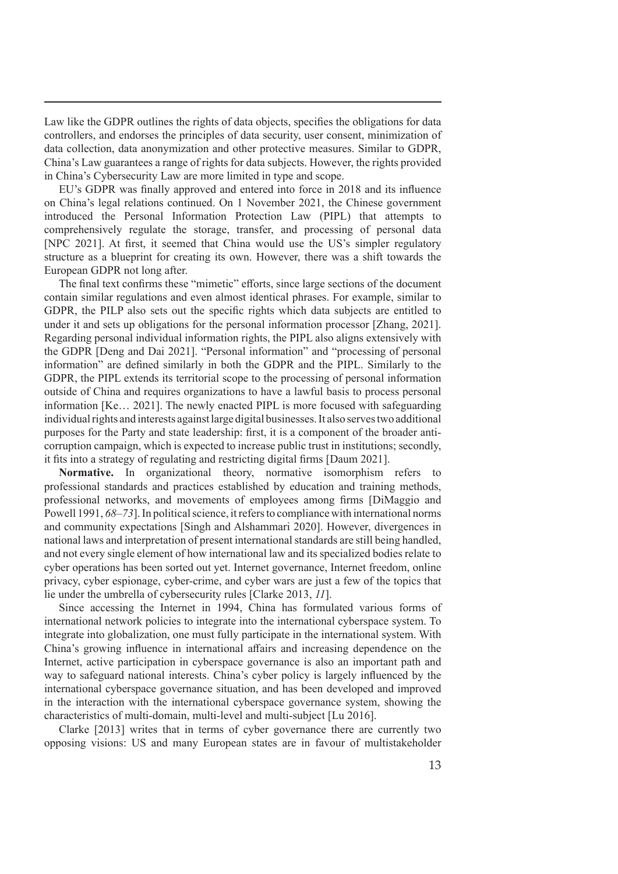Law like the GDPR outlines the rights of data objects, specifies the obligations for data controllers, and endorses the principles of data security, user consent, minimization of data collection, data anonymization and other protective measures. Similar to GDPR, China's Law guarantees a range of rights for data subjects. However, the rights provided in China's Cybersecurity Law are more limited in type and scope.

EU's GDPR was finally approved and entered into force in 2018 and its influence on China's legal relations continued. On 1 November 2021, the Chinese government introduced the Personal Information Protection Law (PIPL) that attempts to comprehensively regulate the storage, transfer, and processing of personal data [NPC 2021]. At first, it seemed that China would use the US's simpler regulatory structure as a blueprint for creating its own. However, there was a shift towards the European GDPR not long after.

The final text confirms these "mimetic" efforts, since large sections of the document contain similar regulations and even almost identical phrases. For example, similar to GDPR, the PILP also sets out the specific rights which data subjects are entitled to under it and sets up obligations for the personal information processor [Zhang, 2021]. Regarding personal individual information rights, the PIPL also aligns extensively with the GDPR [Deng and Dai 2021]. "Personal information" and "processing of personal information" are defined similarly in both the GDPR and the PIPL. Similarly to the GDPR, the PIPL extends its territorial scope to the processing of personal information outside of China and requires organizations to have a lawful basis to process personal information [Ke… 2021]. The newly enacted PIPL is more focused with safeguarding individual rights and interests against large digital businesses. It also serves two additional purposes for the Party and state leadership: first, it is a component of the broader anticorruption campaign, which is expected to increase public trust in institutions; secondly, it fits into a strategy of regulating and restricting digital firms [Daum 2021].

**Normative.** In organizational theory, normative isomorphism refers to professional standards and practices established by education and training methods, professional networks, and movements of employees among firms [DiMaggio and Powell 1991, *68–73*]. In political science, it refers to compliance with international norms and community expectations [Singh and Alshammari 2020]. However, divergences in national laws and interpretation of present international standards are still being handled, and not every single element of how international law and its specialized bodies relate to cyber operations has been sorted out yet. Internet governance, Internet freedom, online privacy, cyber espionage, cyber-crime, and cyber wars are just a few of the topics that lie under the umbrella of cybersecurity rules [Clarke 2013, *11*].

Since accessing the Internet in 1994, China has formulated various forms of international network policies to integrate into the international cyberspace system. To integrate into globalization, one must fully participate in the international system. With China's growing influence in international affairs and increasing dependence on the Internet, active participation in cyberspace governance is also an important path and way to safeguard national interests. China's cyber policy is largely influenced by the international cyberspace governance situation, and has been developed and improved in the interaction with the international cyberspace governance system, showing the characteristics of multi-domain, multi-level and multi-subject [Lu 2016].

Clarke [2013] writes that in terms of cyber governance there are currently two opposing visions: US and many European states are in favour of multistakeholder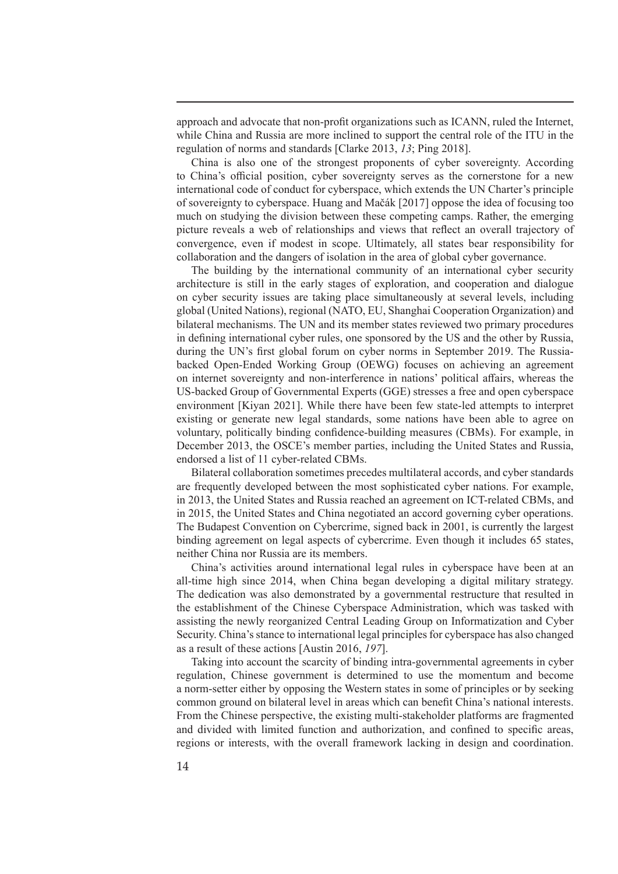approach and advocate that non-profit organizations such as ICANN, ruled the Internet, while China and Russia are more inclined to support the central role of the ITU in the regulation of norms and standards [Clarke 2013, *13*; Ping 2018].

China is also one of the strongest proponents of cyber sovereignty. According to China's official position, cyber sovereignty serves as the cornerstone for a new international code of conduct for cyberspace, which extends the UN Charter's principle of sovereignty to cyberspace. Huang and Mačák [2017] oppose the idea of focusing too much on studying the division between these competing camps. Rather, the emerging picture reveals a web of relationships and views that reflect an overall trajectory of convergence, even if modest in scope. Ultimately, all states bear responsibility for collaboration and the dangers of isolation in the area of global cyber governance.

The building by the international community of an international cyber security architecture is still in the early stages of exploration, and cooperation and dialogue on cyber security issues are taking place simultaneously at several levels, including global (United Nations), regional (NATO, EU, Shanghai Cooperation Organization) and bilateral mechanisms. The UN and its member states reviewed two primary procedures in defining international cyber rules, one sponsored by the US and the other by Russia, during the UN's first global forum on cyber norms in September 2019. The Russiabacked Open-Ended Working Group (OEWG) focuses on achieving an agreement on internet sovereignty and non-interference in nations' political affairs, whereas the US-backed Group of Governmental Experts (GGE) stresses a free and open cyberspace environment [Kiyan 2021]. While there have been few state-led attempts to interpret existing or generate new legal standards, some nations have been able to agree on voluntary, politically binding confidence-building measures (CBMs). For example, in December 2013, the OSCE's member parties, including the United States and Russia, endorsed a list of 11 cyber-related CBMs.

Bilateral collaboration sometimes precedes multilateral accords, and cyber standards are frequently developed between the most sophisticated cyber nations. For example, in 2013, the United States and Russia reached an agreement on ICT-related CBMs, and in 2015, the United States and China negotiated an accord governing cyber operations. The Budapest Convention on Cybercrime, signed back in 2001, is currently the largest binding agreement on legal aspects of cybercrime. Even though it includes 65 states, neither China nor Russia are its members.

China's activities around international legal rules in cyberspace have been at an all-time high since 2014, when China began developing a digital military strategy. The dedication was also demonstrated by a governmental restructure that resulted in the establishment of the Chinese Cyberspace Administration, which was tasked with assisting the newly reorganized Central Leading Group on Informatization and Cyber Security. China's stance to international legal principles for cyberspace has also changed as a result of these actions [Austin 2016, *197*].

Taking into account the scarcity of binding intra-governmental agreements in cyber regulation, Chinese government is determined to use the momentum and become a norm-setter either by opposing the Western states in some of principles or by seeking common ground on bilateral level in areas which can benefit China's national interests. From the Chinese perspective, the existing multi-stakeholder platforms are fragmented and divided with limited function and authorization, and confined to specific areas, regions or interests, with the overall framework lacking in design and coordination.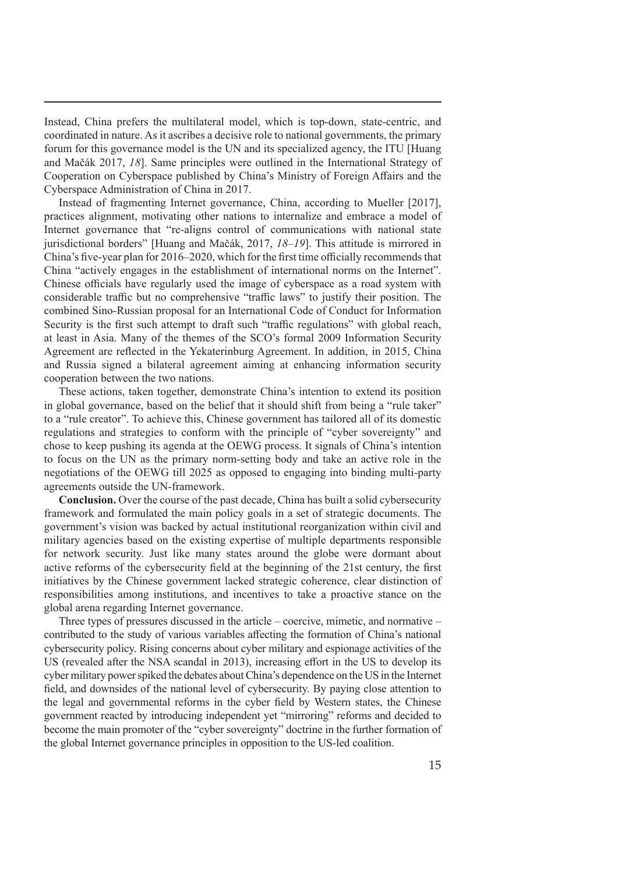Instead, China prefers the multilateral model, which is top-down, state-centric, and coordinated in nature. As it ascribes a decisive role to national governments, the primary forum for this governance model is the UN and its specialized agency, the ITU [Huang and Mačák 2017, *18*]. Same principles were outlined in the International Strategy of Cooperation on Cyberspace published by China's Ministry of Foreign Affairs and the Cyberspace Administration of China in 2017.

Instead of fragmenting Internet governance, China, according to Mueller [2017], practices alignment, motivating other nations to internalize and embrace a model of Internet governance that "re-aligns control of communications with national state jurisdictional borders" [Huang and Mačák, 2017, *18–19*]. This attitude is mirrored in China's five-year plan for 2016–2020, which for the first time officially recommends that China "actively engages in the establishment of international norms on the Internet". Chinese officials have regularly used the image of cyberspace as a road system with considerable traffic but no comprehensive "traffic laws" to justify their position. The combined Sino-Russian proposal for an International Code of Conduct for Information Security is the first such attempt to draft such "traffic regulations" with global reach, at least in Asia. Many of the themes of the SCO's formal 2009 Information Security Agreement are reflected in the Yekaterinburg Agreement. In addition, in 2015, China and Russia signed a bilateral agreement aiming at enhancing information security cooperation between the two nations.

These actions, taken together, demonstrate China's intention to extend its position in global governance, based on the belief that it should shift from being a "rule taker" to a "rule creator". To achieve this, Chinese government has tailored all of its domestic regulations and strategies to conform with the principle of "cyber sovereignty" and chose to keep pushing its agenda at the OEWG process. It signals of China's intention to focus on the UN as the primary norm-setting body and take an active role in the negotiations of the OEWG till 2025 as opposed to engaging into binding multi-party agreements outside the UN-framework.

**Conclusion.** Over the course of the past decade, China has built a solid cybersecurity framework and formulated the main policy goals in a set of strategic documents. The government's vision was backed by actual institutional reorganization within civil and military agencies based on the existing expertise of multiple departments responsible for network security. Just like many states around the globe were dormant about active reforms of the cybersecurity field at the beginning of the 21st century, the first initiatives by the Chinese government lacked strategic coherence, clear distinction of responsibilities among institutions, and incentives to take a proactive stance on the global arena regarding Internet governance.

Three types of pressures discussed in the article – coercive, mimetic, and normative – contributed to the study of various variables affecting the formation of China's national cybersecurity policy. Rising concerns about cyber military and espionage activities of the US (revealed after the NSA scandal in 2013), increasing effort in the US to develop its cyber military power spiked the debates about China's dependence on the US in the Internet field, and downsides of the national level of cybersecurity. By paying close attention to the legal and governmental reforms in the cyber field by Western states, the Chinese government reacted by introducing independent yet "mirroring" reforms and decided to become the main promoter of the "cyber sovereignty" doctrine in the further formation of the global Internet governance principles in opposition to the US-led coalition.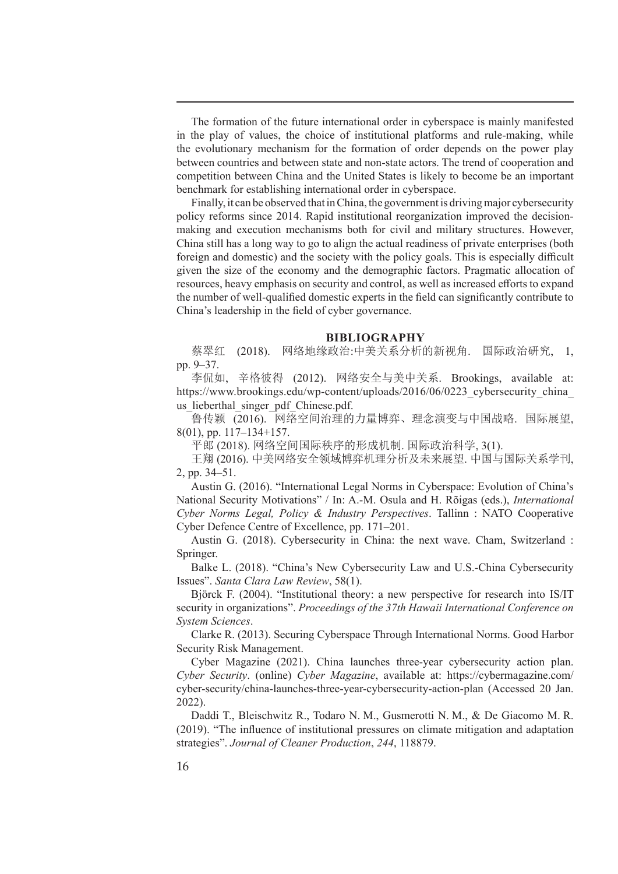The formation of the future international order in cyberspace is mainly manifested in the play of values, the choice of institutional platforms and rule-making, while the evolutionary mechanism for the formation of order depends on the power play between countries and between state and non-state actors. The trend of cooperation and competition between China and the United States is likely to become be an important benchmark for establishing international order in cyberspace.

Finally, it can be observed that in China, the government is driving major cybersecurity policy reforms since 2014. Rapid institutional reorganization improved the decisionmaking and execution mechanisms both for civil and military structures. However, China still has a long way to go to align the actual readiness of private enterprises (both foreign and domestic) and the society with the policy goals. This is especially difficult given the size of the economy and the demographic factors. Pragmatic allocation of resources, heavy emphasis on security and control, as well as increased efforts to expand the number of well-qualified domestic experts in the field can significantly contribute to China's leadership in the field of cyber governance.

#### **BIBLIOGRAPHY**

蔡翠红 (2018). 网络地缘政治:中美关系分析的新视角. 国际政治研究, 1, pp. 9–37.

李侃如, 辛格彼得 (2012). 网络安全与美中关系. Brookings, available at: https://www.brookings.edu/wp-content/uploads/2016/06/0223 cybersecurity china us lieberthal singer pdf Chinese.pdf.

鲁传颖 (2016). 网络空间治理的力量博弈、理念演变与中国战略. 国际展望, 8(01), pp. 117–134+157.

平郎 (2018). 网络空间国际秩序的形成机制. 国际政治科学, 3(1).

王翔 (2016). 中美网络安全领域博弈机理分析及未来展望. 中国与国际关系学刊, 2, pp. 34–51.

Austin G. (2016). "International Legal Norms in Cyberspace: Evolution of China's National Security Motivations" / In: A.-M. Osula and H. Rõigas (eds.), *International Cyber Norms Legal, Policy & Industry Perspectives*. Tallinn : NATO Cooperative Cyber Defence Centre of Excellence, pp. 171–201.

Austin G. (2018). Cybersecurity in China: the next wave. Cham, Switzerland : Springer.

Balke L. (2018). "China's New Cybersecurity Law and U.S.-China Cybersecurity Issues". *Santa Clara Law Review*, 58(1).

Björck F. (2004). "Institutional theory: a new perspective for research into IS/IT security in organizations". *Proceedings of the 37th Hawaii International Conference on System Sciences*.

Clarke R. (2013). Securing Cyberspace Through International Norms. Good Harbor Security Risk Management.

Cyber Magazine (2021). China launches three-year cybersecurity action plan. *Cyber Security*. (online) *Cyber Magazine*, available at: https://cybermagazine.com/ cyber-security/china-launches-three-year-cybersecurity-action-plan (Accessed 20 Jan. 2022).

Daddi T., Bleischwitz R., Todaro N. M., Gusmerotti N. M., & De Giacomo M. R. (2019). "The influence of institutional pressures on climate mitigation and adaptation strategies". *Journal of Cleaner Production*, *244*, 118879.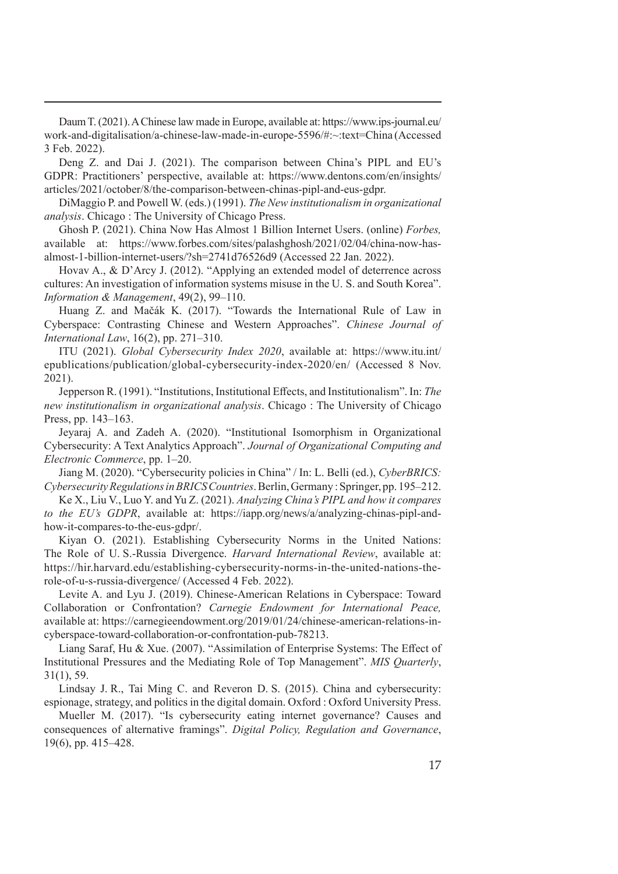Daum T. (2021). AChinese law made in Europe, available at: https://www.ips-journal.eu/ work-and-digitalisation/a-chinese-law-made-in-europe-5596/#:~:text=China (Accessed 3 Feb. 2022).

Deng Z. and Dai J. (2021). The comparison between China's PIPL and EU's GDPR: Practitioners' perspective, available at: https://www.dentons.com/en/insights/ articles/2021/october/8/the-comparison-between-chinas-pipl-and-eus-gdpr.

DiMaggio P. and Powell W. (eds.) (1991). *The New institutionalism in organizational analysis*. Chicago : The University of Chicago Press.

Ghosh P. (2021). China Now Has Almost 1 Billion Internet Users. (online) *Forbes,* available at: https://www.forbes.com/sites/palashghosh/2021/02/04/china-now-hasalmost-1-billion-internet-users/?sh=2741d76526d9 (Accessed 22 Jan. 2022).

Hovav A., & D'Arcy J. (2012). "Applying an extended model of deterrence across cultures: An investigation of information systems misuse in the U. S. and South Korea". *Information & Management*, 49(2), 99–110.

Huang Z. and Mačák K. (2017). "Towards the International Rule of Law in Cyberspace: Contrasting Chinese and Western Approaches". *Chinese Journal of International Law*, 16(2), pp. 271–310.

ITU (2021). *Global Cybersecurity Index 2020*, available at: https://www.itu.int/ epublications/publication/global-cybersecurity-index-2020/en/ (Accessed 8 Nov. 2021).

Jepperson R. (1991). "Institutions, Institutional Effects, and Institutionalism". In: *The new institutionalism in organizational analysis*. Chicago : The University of Chicago Press, pp. 143–163.

Jeyaraj A. and Zadeh A. (2020). "Institutional Isomorphism in Organizational Cybersecurity: A Text Analytics Approach". *Journal of Organizational Computing and Electronic Commerce*, pp. 1–20.

Jiang M. (2020). "Cybersecurity policies in China" / In: L. Belli (ed.), *CyberBRICS: Cybersecurity Regulations in BRICS Countries*. Berlin, Germany : Springer, pp. 195–212.

Ke X., Liu V., Luo Y. and Yu Z. (2021). *Analyzing China's PIPL and how it compares to the EU's GDPR*, available at: https://iapp.org/news/a/analyzing-chinas-pipl-andhow-it-compares-to-the-eus-gdpr/.

Kiyan O. (2021). Establishing Cybersecurity Norms in the United Nations: The Role of U. S.-Russia Divergence. *Harvard International Review*, available at: https://hir.harvard.edu/establishing-cybersecurity-norms-in-the-united-nations-therole-of-u-s-russia-divergence/ (Accessed 4 Feb. 2022).

Levite A. and Lyu J. (2019). Chinese-American Relations in Cyberspace: Toward Collaboration or Confrontation? *Carnegie Endowment for International Peace,* available at: https://carnegieendowment.org/2019/01/24/chinese-american-relations-incyberspace-toward-collaboration-or-confrontation-pub-78213.

Liang Saraf, Hu & Xue. (2007). "Assimilation of Enterprise Systems: The Effect of Institutional Pressures and the Mediating Role of Top Management". *MIS Quarterly*, 31(1), 59.

Lindsay J. R., Tai Ming C. and Reveron D. S. (2015). China and cybersecurity: espionage, strategy, and politics in the digital domain. Oxford : Oxford University Press.

Mueller M. (2017). "Is cybersecurity eating internet governance? Causes and consequences of alternative framings". *Digital Policy, Regulation and Governance*, 19(6), pp. 415–428.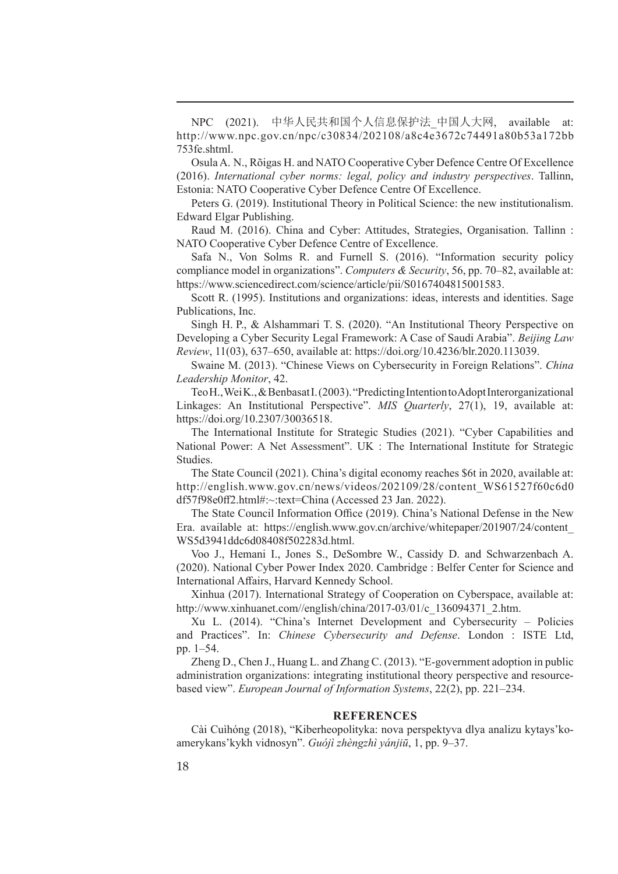NPC (2021). 中华人民共和国个人信息保护法*\_*中国人大网, available at: http://www.npc.gov.cn/npc/c30834/202108/a8c4e3672c74491a80b53a172bb 753fe.shtml.

Osula A. N., Rõigas H. and NATO Cooperative Cyber Defence Centre Of Excellence (2016). *International cyber norms: legal, policy and industry perspectives*. Tallinn, Estonia: NATO Cooperative Cyber Defence Centre Of Excellence.

Peters G. (2019). Institutional Theory in Political Science: the new institutionalism. Edward Elgar Publishing.

Raud M. (2016). China and Cyber: Attitudes, Strategies, Organisation. Tallinn : NATO Cooperative Cyber Defence Centre of Excellence.

Safa N., Von Solms R. and Furnell S. (2016). "Information security policy compliance model in organizations". *Computers & Security*, 56, pp. 70–82, available at: https://www.sciencedirect.com/science/article/pii/S0167404815001583.

Scott R. (1995). Institutions and organizations: ideas, interests and identities. Sage Publications, Inc.

Singh H. P., & Alshammari T. S. (2020). "An Institutional Theory Perspective on Developing a Cyber Security Legal Framework: A Case of Saudi Arabia". *Beijing Law Review*, 11(03), 637–650, available at: https://doi.org/10.4236/blr.2020.113039.

Swaine M. (2013). "Chinese Views on Cybersecurity in Foreign Relations". *China Leadership Monitor*, 42.

Teo H., Wei K., & BenbasatI. (2003). "Predicting Intention to Adopt Interorganizational Linkages: An Institutional Perspective". *MIS Quarterly*, 27(1), 19, available at: https://doi.org/10.2307/30036518.

The International Institute for Strategic Studies (2021). "Cyber Capabilities and National Power: A Net Assessment". UK : The International Institute for Strategic Studies.

The State Council (2021). China's digital economy reaches \$6t in 2020, available at: http://english.www.gov.cn/news/videos/202109/28/content\_WS61527f60c6d0 df57f98e0ff2.html#:~:text=China (Accessed 23 Jan. 2022).

The State Council Information Office (2019). China's National Defense in the New Era. available at: https://english.www.gov.cn/archive/whitepaper/201907/24/content\_ WS5d3941ddc6d08408f502283d.html.

Voo J., Hemani I., Jones S., DeSombre W., Cassidy D. and Schwarzenbach A. (2020). National Cyber Power Index 2020. Cambridge : Belfer Center for Science and International Affairs, Harvard Kennedy School.

Xinhua (2017). International Strategy of Cooperation on Cyberspace, available at: http://www.xinhuanet.com//english/china/2017-03/01/c\_136094371\_2.htm.

Xu L. (2014). "China's Internet Development and Cybersecurity – Policies and Practices". In: *Chinese Cybersecurity and Defense*. London : ISTE Ltd, pp. 1–54.

Zheng D., Chen J., Huang L. and Zhang C. (2013). "E-government adoption in public administration organizations: integrating institutional theory perspective and resourcebased view". *European Journal of Information Systems*, 22(2), pp. 221–234.

## **REFERENCES**

Cài Cuìhóng (2018), "Kiberheopolityka: nova perspektyva dlya analizu kytays'koamerykans'kykh vidnosyn". *Guójì zhèngzhì yánjiū*, 1, pp. 9–37.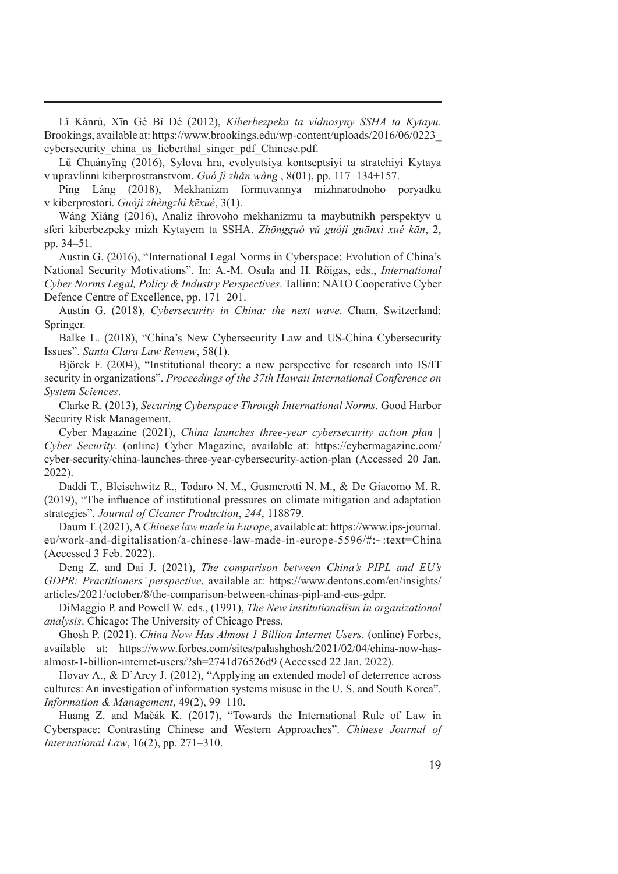Lǐ Kǎnrú, Xīn Gé Bǐ Dé (2012), *Kiberbezpeka ta vidnosyny SSHA ta Kytayu.* Brookings, available at: https://www.brookings.edu/wp-content/uploads/2016/06/0223\_ cybersecurity china us lieberthal singer pdf Chinese.pdf.

Lǔ Chuányǐng (2016), Sylova hra, evolyutsiya kontseptsiyi ta stratehiyi Kytaya v upravlinni kiberprostranstvom. *Guó jì zhǎn wàng* , 8(01), pp. 117–134+157.

Píng Láng (2018), Mekhanizm formuvannya mizhnarodnoho poryadku v kiberprostori. *Guójì zhèngzhì kēxué*, 3(1).

Wáng Xiáng (2016), Analiz ihrovoho mekhanizmu ta maybutnikh perspektyv u sferi kiberbezpeky mizh Kytayem ta SSHA. *Zhōngguó yǔ guójì guānxì xué kān*, 2, pp. 34–51.

Austin G. (2016), "International Legal Norms in Cyberspace: Evolution of China's National Security Motivations". In: A.-M. Osula and H. Rõigas, eds., *International Cyber Norms Legal, Policy & Industry Perspectives*. Tallinn: NATO Cooperative Cyber Defence Centre of Excellence, pp. 171–201.

Austin G. (2018), *Cybersecurity in China: the next wave*. Cham, Switzerland: Springer.

Balke L. (2018), "China's New Cybersecurity Law and US-China Cybersecurity Issues". *Santa Clara Law Review*, 58(1).

Björck F. (2004), "Institutional theory: a new perspective for research into IS/IT security in organizations". *Proceedings of the 37th Hawaii International Conference on System Sciences*.

Clarke R. (2013), *Securing Cyberspace Through International Norms*. Good Harbor Security Risk Management.

Cyber Magazine (2021), *China launches three-year cybersecurity action plan | Cyber Security*. (online) Cyber Magazine, available at: https://cybermagazine.com/ cyber-security/china-launches-three-year-cybersecurity-action-plan (Accessed 20 Jan. 2022).

Daddi T., Bleischwitz R., Todaro N. M., Gusmerotti N. M., & De Giacomo M. R. (2019), "The influence of institutional pressures on climate mitigation and adaptation strategies". *Journal of Cleaner Production*, *244*, 118879.

Daum T. (2021), A*Chinese law made in Europe*, available at: https://www.ips-journal. eu/work-and-digitalisation/a-chinese-law-made-in-europe-5596/#:~:text=China (Accessed 3 Feb. 2022).

Deng Z. and Dai J. (2021), *The comparison between China's PIPL and EU's GDPR: Practitioners' perspective*, available at: https://www.dentons.com/en/insights/ articles/2021/october/8/the-comparison-between-chinas-pipl-and-eus-gdpr.

DiMaggio P. and Powell W. eds., (1991), *The New institutionalism in organizational analysis*. Chicago: The University of Chicago Press.

Ghosh P. (2021). *China Now Has Almost 1 Billion Internet Users*. (online) Forbes, available at: https://www.forbes.com/sites/palashghosh/2021/02/04/china-now-hasalmost-1-billion-internet-users/?sh=2741d76526d9 (Accessed 22 Jan. 2022).

Hovav A., & D'Arcy J. (2012), "Applying an extended model of deterrence across cultures: An investigation of information systems misuse in the U. S. and South Korea". *Information & Management*, 49(2), 99–110.

Huang Z. and Mačák K. (2017), "Towards the International Rule of Law in Cyberspace: Contrasting Chinese and Western Approaches". *Chinese Journal of International Law*, 16(2), pp. 271–310.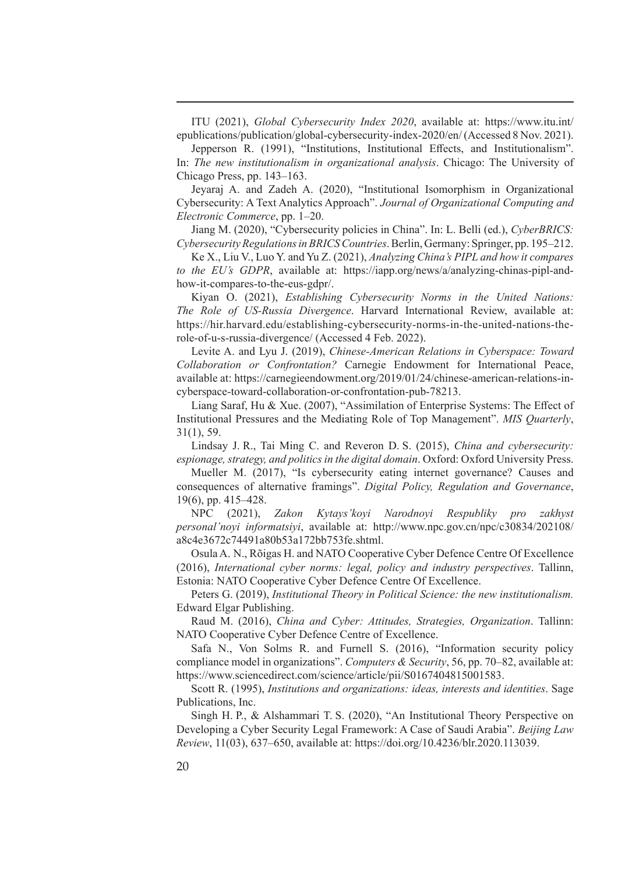ITU (2021), *Global Cybersecurity Index 2020*, available at: https://www.itu.int/ epublications/publication/global-cybersecurity-index-2020/en/ (Accessed 8 Nov. 2021).

Jepperson R. (1991), "Institutions, Institutional Effects, and Institutionalism". In: *The new institutionalism in organizational analysis*. Chicago: The University of Chicago Press, pp. 143–163.

Jeyaraj A. and Zadeh A. (2020), "Institutional Isomorphism in Organizational Cybersecurity: A Text Analytics Approach". *Journal of Organizational Computing and Electronic Commerce*, pp. 1–20.

Jiang M. (2020), "Cybersecurity policies in China". In: L. Belli (ed.), *CyberBRICS: Cybersecurity Regulations in BRICS Countries*. Berlin, Germany: Springer, pp. 195–212.

Ke X., Liu V., Luo Y. and Yu Z. (2021), *Analyzing China's PIPL and how it compares to the EU's GDPR*, available at: https://iapp.org/news/a/analyzing-chinas-pipl-andhow-it-compares-to-the-eus-gdpr/.

Kiyan O. (2021), *Establishing Cybersecurity Norms in the United Nations: The Role of US-Russia Divergence*. Harvard International Review, available at: https://hir.harvard.edu/establishing-cybersecurity-norms-in-the-united-nations-therole-of-u-s-russia-divergence/ (Accessed 4 Feb. 2022).

Levite A. and Lyu J. (2019), *Chinese-American Relations in Cyberspace: Toward Collaboration or Confrontation?* Carnegie Endowment for International Peace, available at: https://carnegieendowment.org/2019/01/24/chinese-american-relations-incyberspace-toward-collaboration-or-confrontation-pub-78213.

Liang Saraf, Hu & Xue. (2007), "Assimilation of Enterprise Systems: The Effect of Institutional Pressures and the Mediating Role of Top Management". *MIS Quarterly*, 31(1), 59.

Lindsay J. R., Tai Ming C. and Reveron D. S. (2015), *China and cybersecurity: espionage, strategy, and politics in the digital domain*. Oxford: Oxford University Press.

Mueller M. (2017), "Is cybersecurity eating internet governance? Causes and consequences of alternative framings". *Digital Policy, Regulation and Governance*, 19(6), pp. 415–428.

NPC (2021), *Zakon Kytays'koyi Narodnoyi Respubliky pro zakhyst personal'noyi informatsiyi*, available at: http://www.npc.gov.cn/npc/c30834/202108/ a8c4e3672c74491a80b53a172bb753fe.shtml.

Osula A. N., Rõigas H. and NATO Cooperative Cyber Defence Centre Of Excellence (2016), *International cyber norms: legal, policy and industry perspectives*. Tallinn, Estonia: NATO Cooperative Cyber Defence Centre Of Excellence.

Peters G. (2019), *Institutional Theory in Political Science: the new institutionalism.* Edward Elgar Publishing.

Raud M. (2016), *China and Cyber: Attitudes, Strategies, Organization*. Tallinn: NATO Cooperative Cyber Defence Centre of Excellence.

Safa N., Von Solms R. and Furnell S. (2016), "Information security policy compliance model in organizations". *Computers & Security*, 56, pp. 70–82, available at: https://www.sciencedirect.com/science/article/pii/S0167404815001583.

Scott R. (1995), *Institutions and organizations: ideas, interests and identities*. Sage Publications, Inc.

Singh H. P., & Alshammari T. S. (2020), "An Institutional Theory Perspective on Developing a Cyber Security Legal Framework: A Case of Saudi Arabia". *Beijing Law Review*, 11(03), 637–650, available at: https://doi.org/10.4236/blr.2020.113039.